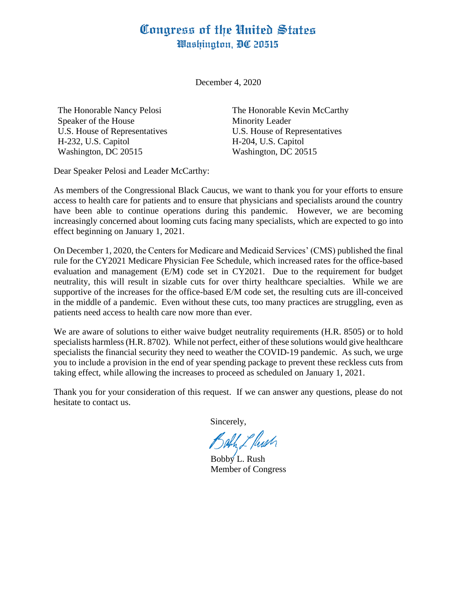## Congress of the United States Washington, DC 20515

December 4, 2020

The Honorable Nancy Pelosi Speaker of the House U.S. House of Representatives H-232, U.S. Capitol Washington, DC 20515

The Honorable Kevin McCarthy Minority Leader U.S. House of Representatives H-204, U.S. Capitol Washington, DC 20515

Dear Speaker Pelosi and Leader McCarthy:

As members of the Congressional Black Caucus, we want to thank you for your efforts to ensure access to health care for patients and to ensure that physicians and specialists around the country have been able to continue operations during this pandemic. However, we are becoming increasingly concerned about looming cuts facing many specialists, which are expected to go into effect beginning on January 1, 2021.

On December 1, 2020, the Centers for Medicare and Medicaid Services' (CMS) published the final rule for the CY2021 Medicare Physician Fee Schedule, which increased rates for the office-based evaluation and management (E/M) code set in CY2021. Due to the requirement for budget neutrality, this will result in sizable cuts for over thirty healthcare specialties. While we are supportive of the increases for the office-based E/M code set, the resulting cuts are ill-conceived in the middle of a pandemic. Even without these cuts, too many practices are struggling, even as patients need access to health care now more than ever.

We are aware of solutions to either waive budget neutrality requirements (H.R. 8505) or to hold specialists harmless (H.R. 8702). While not perfect, either of these solutions would give healthcare specialists the financial security they need to weather the COVID-19 pandemic. As such, we urge you to include a provision in the end of year spending package to prevent these reckless cuts from taking effect, while allowing the increases to proceed as scheduled on January 1, 2021.

Thank you for your consideration of this request. If we can answer any questions, please do not hesitate to contact us.

Sincerely,

Bahh L Push

Bobby L. Rush Member of Congress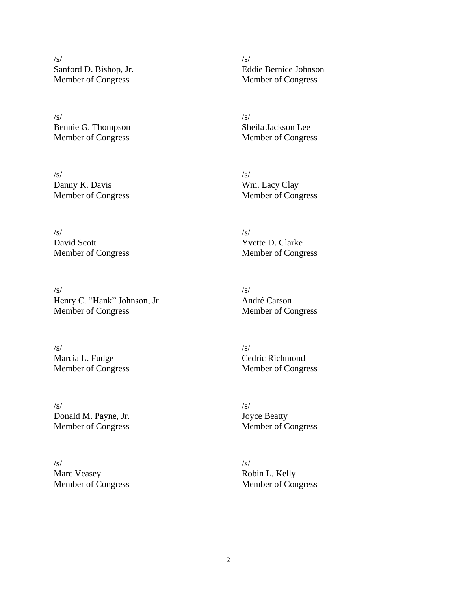/s/ Sanford D. Bishop, Jr. Member of Congress

/s/ Bennie G. Thompson Member of Congress

/s/ Danny K. Davis Member of Congress

/s/ David Scott Member of Congress

 $\sqrt{s}$ Henry C. "Hank" Johnson, Jr. Member of Congress

/s/ Marcia L. Fudge Member of Congress

/s/ Donald M. Payne, Jr. Member of Congress

 $/s/$ Marc Veasey Member of Congress  $\sqrt{s}$ Eddie Bernice Johnson Member of Congress

/s/ Sheila Jackson Lee Member of Congress

/s/ Wm. Lacy Clay Member of Congress

 $\sqrt{s}$ Yvette D. Clarke Member of Congress

/s/ André Carson Member of Congress

 $\sqrt{s}$ Cedric Richmond Member of Congress

/s/ Joyce Beatty Member of Congress

/s/ Robin L. Kelly Member of Congress